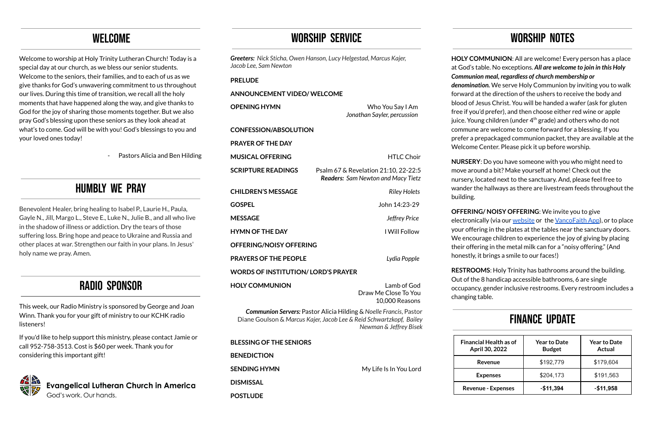# WELCOME

Welcome to worship at Holy Trinity Lutheran Church! Today is a special day at our church, as we bless our senior students. Welcome to the seniors, their families, and to each of us as we give thanks for God's unwavering commitment to us throughout our lives. During this time of transition, we recall all the holy moments that have happened along the way, and give thanks to God for the joy of sharing those moments together. But we also pray God's blessing upon these seniors as they look ahead at what's to come. God will be with you! God's blessings to you and your loved ones today!

- Pastors Alicia and Ben Hilding

### HUmbly we Pray

Benevolent Healer, bring healing to Isabel P., Laurie H., Paula, Gayle N., Jill, Margo L., Steve E., Luke N., Julie B., and all who live in the shadow of illness or addiction. Dry the tears of those suffering loss. Bring hope and peace to Ukraine and Russia and other places at war. Strengthen our faith in your plans. In Jesus' holy name we pray. Amen.

# Radio sponsor

This week, our Radio Ministry is sponsored by George and Joan Winn. Thank you for your gift of ministry to our KCHK radio listeners!

If you'd like to help support this ministry, please contact Jamie or call 952-758-3513. Cost is \$60 per week. Thank you for considering this important gift!



# WORSHIP SERVICE

*Greeters: Nick Sticha, Owen Hanson, Lucy Helgestad, Marcus Kajer, Jacob Lee, Sam Newton* **PRELUDE ANNOUNCEMENT VIDEO/ WELCOME OPENING HYMN** Who You Say I Am *Jonathan Sayler, percussion* **CONFESSION/ABSOLUTION PRAYER OF THE DAY MUSICAL OFFERING** HTLC Choir **SCRIPTURE READINGS** Psalm 67 & Revelation 21:10, 22-22:5 *Readers: Sam Newton and Macy Tietz* **CHILDREN'S MESSAGE** *Riley Holets* **GOSPEL** John 14:23-29 **MESSAGE** *Jeffrey Price* **HYMN OF THE DAY** I Will Follow **OFFERING/NOISY OFFERING PRAYERS OF THE PEOPLE** *Lydia Popple* **WORDS OF INSTITUTION/ LORD'S PRAYER HOLY COMMUNION** Lamb of God Draw Me Close To You 10,000 Reasons *Communion Servers:* Pastor Alicia Hilding & *Noelle Francis*, Pastor Diane Goulson & *Marcus Kajer, Jacob Lee & Reid Schwartzkopf, Bailey Newman & Jeffrey Bisek* **BLESSING OF THE SENIORS BENEDICTION SENDING HYMN** My Life Is In You Lord **DISMISSAL POSTLUDE**

# WORSHIP NOTES

**HOLY COMMUNION**: All are welcome! Every person has a place at God's table. No exceptions. *All are welcome to join in this Holy Communion meal, regardless of church membership or*

*denomination.* We serve Holy Communion by inviting you to walk forward at the direction of the ushers to receive the body and blood of Jesus Christ. You will be handed a wafer (ask for gluten free if you'd prefer), and then choose either red wine or apple juice. Young children (under 4<sup>th</sup> grade) and others who do not commune are welcome to come forward for a blessing. If you prefer a prepackaged communion packet, they are available at the Welcome Center. Please pick it up before worship.

**NURSERY**: Do you have someone with you who might need to move around a bit? Make yourself at home! Check out the nursery, located next to the sanctuary. And, please feel free to wander the hallways as there are livestream feeds throughout the

building.

**OFFERING/ NOISY OFFERING**: We invite you to give electronically (via our [website](http://www.holytrinityonline.org) or the [VancoFaith](https://www.vancopayments.com/egiving/church-app) App), or to place your offering in the plates at the tables near the sanctuary doors. We encourage children to experience the joy of giving by placing their offering in the metal milk can for a "noisy offering." (And honestly, it brings a smile to our faces!)

**RESTROOMS**: Holy Trinity has bathrooms around the building. Out of the 8 handicap accessible bathrooms, 6 are single occupancy, gender inclusive restrooms. Every restroom includes a changing table.

# FINANCE UPDATE

| <b>Financial Health as of</b><br>April 30, 2022 | <b>Year to Date</b><br><b>Budget</b> | <b>Year to Date</b><br>Actual |
|-------------------------------------------------|--------------------------------------|-------------------------------|
| Revenue                                         | \$192,779                            | \$179,604                     |
| <b>Expenses</b>                                 | \$204,173                            | \$191,563                     |
| <b>Revenue - Expenses</b>                       | $-$11,394$                           | $-$11,958$                    |